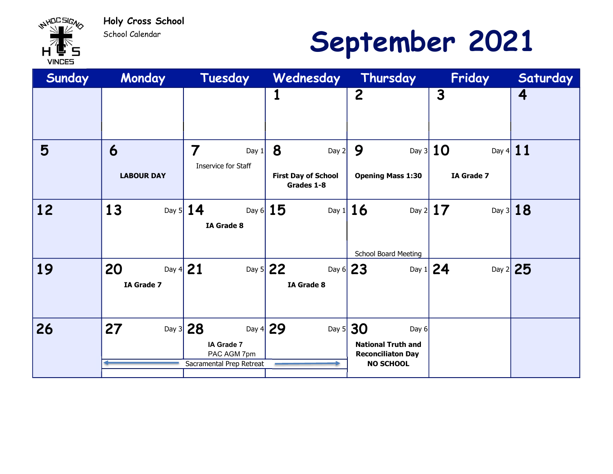

School Calendar

# September 2021

| Sunday | Monday                         | Tuesday                                                                   | Wednesday                                                | Thursday                                                                                   | Friday                                        | Saturday             |
|--------|--------------------------------|---------------------------------------------------------------------------|----------------------------------------------------------|--------------------------------------------------------------------------------------------|-----------------------------------------------|----------------------|
|        |                                |                                                                           |                                                          | $\overline{c}$                                                                             | 3                                             | 4                    |
| 5      | 6<br><b>LABOUR DAY</b>         | 7<br>Day $1$<br>Inservice for Staff                                       | 8<br>Day $2$<br><b>First Day of School</b><br>Grades 1-8 | 9<br><b>Opening Mass 1:30</b>                                                              | Day 3 $10$<br>Day 4 $11$<br><b>IA Grade 7</b> |                      |
| 12     | 13                             | Day 5 $14$<br>Day 6 $15$<br><b>IA Grade 8</b>                             | Day 1 $16$                                               | <b>School Board Meeting</b>                                                                | Day 2 $17$                                    | Day $3$ 18           |
| 19     | 20<br>Day 4 $21$<br>IA Grade 7 |                                                                           | Day 5 $22$<br>Day 6 $23$<br>IA Grade 8                   |                                                                                            | Day 1 $24$                                    | Day $2\overline{25}$ |
| 26     | 27<br>Day $3$                  | Day 4 $29$<br>28<br>IA Grade 7<br>PAC AGM 7pm<br>Sacramental Prep Retreat | Day $5$                                                  | 30<br>Day $6$<br><b>National Truth and</b><br><b>Reconciliaton Day</b><br><b>NO SCHOOL</b> |                                               |                      |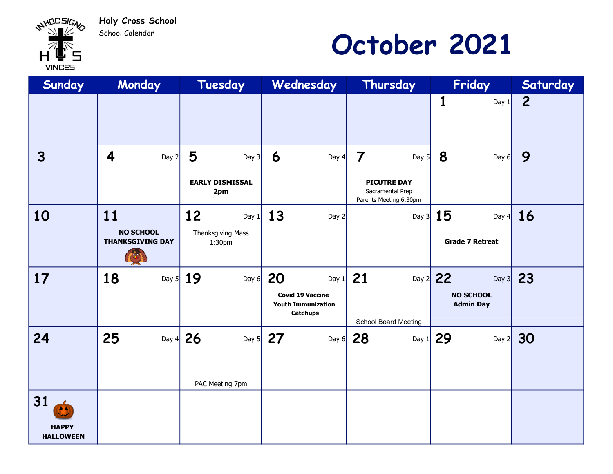Holy Cross School School Calendar

**WAHACSIGAS** 

**VINCES** 

## October 2021

| Sunday                                         | Monday                                      | Tuesday                       | Wednesday                                                               | Thursday                                                         | Friday                               | Saturday       |
|------------------------------------------------|---------------------------------------------|-------------------------------|-------------------------------------------------------------------------|------------------------------------------------------------------|--------------------------------------|----------------|
|                                                |                                             |                               |                                                                         |                                                                  | 1<br>Day 1                           | $\overline{2}$ |
| $\overline{3}$                                 | $\overline{\mathbf{4}}$<br>Day $2$          | 5<br>Day $3$                  | 6<br>Day $4$                                                            | $\overline{\mathbf{7}}$<br>Day $5$                               | 8<br>Day $6$                         | 9              |
|                                                |                                             | <b>EARLY DISMISSAL</b><br>2pm |                                                                         | <b>PICUTRE DAY</b><br>Sacramental Prep<br>Parents Meeting 6:30pm |                                      |                |
| 10                                             | 11                                          | 12<br>Day $1$                 | 13<br>Day $2$                                                           |                                                                  | Day 3 $15$<br>Day $4$                | <b>16</b>      |
|                                                | <b>NO SCHOOL</b><br><b>THANKSGIVING DAY</b> | Thanksgiving Mass<br>1:30pm   |                                                                         |                                                                  | <b>Grade 7 Retreat</b>               |                |
| 17                                             | 18<br>Day $5$                               | 19<br>Day $6$                 | 20<br>Day $1$                                                           | 21                                                               | Day 2 22<br>Day $3$                  | 23             |
|                                                |                                             |                               | <b>Covid 19 Vaccine</b><br><b>Youth Immunization</b><br><b>Catchups</b> | <b>School Board Meeting</b>                                      | <b>NO SCHOOL</b><br><b>Admin Day</b> |                |
| 24                                             | 25<br>Day $4$                               | 26                            | Day 5 $27$<br>Day $6$                                                   | 28<br>Day 1                                                      | 29<br>Day $2$                        | 30             |
|                                                |                                             |                               |                                                                         |                                                                  |                                      |                |
|                                                |                                             | PAC Meeting 7pm               |                                                                         |                                                                  |                                      |                |
| 31<br>(é 4<br><b>HAPPY</b><br><b>HALLOWEEN</b> |                                             |                               |                                                                         |                                                                  |                                      |                |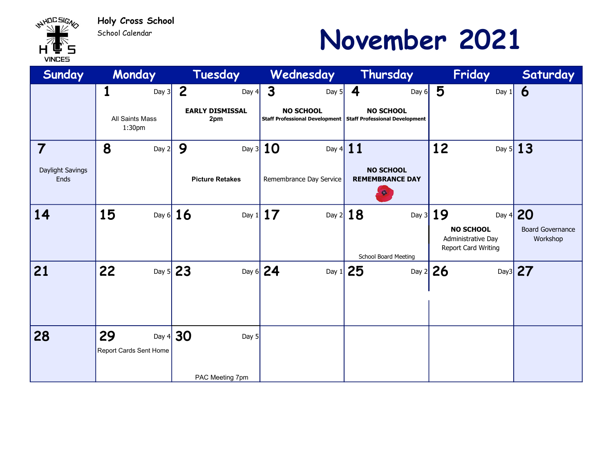

#### School Calendar

## November 2021

| Sunday                   | Monday                           | Tuesday                                             | Wednesday                                   | Thursday                                                        | Friday                                                        | Saturday                            |
|--------------------------|----------------------------------|-----------------------------------------------------|---------------------------------------------|-----------------------------------------------------------------|---------------------------------------------------------------|-------------------------------------|
|                          | 1<br>Day $3$                     | $\overline{2}$<br>Day $4$<br><b>EARLY DISMISSAL</b> | $\mathbf{3}$<br>Day $5$<br><b>NO SCHOOL</b> | 4<br>Day $6$<br><b>NO SCHOOL</b>                                | 5<br>Day $1$                                                  | 6                                   |
|                          | <b>All Saints Mass</b><br>1:30pm | 2pm                                                 |                                             | Staff Professional Development   Staff Professional Development |                                                               |                                     |
| 7                        | 8<br>Day $2$                     | 9                                                   | Day 3 $10$<br>Day 4 $11$                    |                                                                 | 12                                                            | Day 5 $13$                          |
| Daylight Savings<br>Ends |                                  | <b>Picture Retakes</b>                              | Remembrance Day Service                     | <b>NO SCHOOL</b><br><b>REMEMBRANCE DAY</b><br>Ģ.                |                                                               |                                     |
| 14                       | 15                               | Day 6 $16$                                          | Day 1 17                                    | Day $2$ 18                                                      | Day $3$ 19                                                    | Day 4 20                            |
|                          |                                  |                                                     |                                             | School Board Meeting                                            | <b>NO SCHOOL</b><br>Administrative Day<br>Report Card Writing | <b>Board Governance</b><br>Workshop |
| 21                       | 22                               | Day 5 $23$                                          | Day 6 $24$                                  | Day 1 $25$                                                      | Day $2$ 26                                                    | Day3 27                             |
| 28                       | 29                               | Day 4 $30$<br>Day $5$                               |                                             |                                                                 |                                                               |                                     |
|                          | Report Cards Sent Home           |                                                     |                                             |                                                                 |                                                               |                                     |
|                          |                                  | PAC Meeting 7pm                                     |                                             |                                                                 |                                                               |                                     |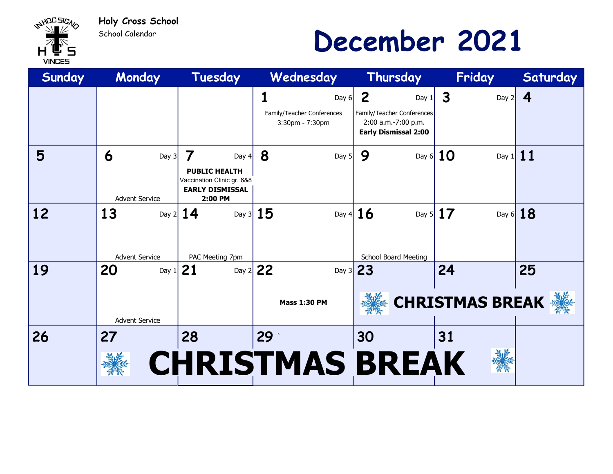

School Calendar

## December 2021

| Sunday    | Monday                                    | Tuesday                                                                                                 | Wednesday                                                     | Thursday                                                                                                      | Friday                             | Saturday   |
|-----------|-------------------------------------------|---------------------------------------------------------------------------------------------------------|---------------------------------------------------------------|---------------------------------------------------------------------------------------------------------------|------------------------------------|------------|
|           |                                           |                                                                                                         | 1<br>Day $6$<br>Family/Teacher Conferences<br>3:30pm - 7:30pm | $\overline{2}$<br>Day $1$<br>Family/Teacher Conferences<br>2:00 a.m.-7:00 p.m.<br><b>Early Dismissal 2:00</b> | $\overline{\mathbf{3}}$<br>Day $2$ | 4          |
| 5         | 6<br>Day $3$<br><b>Advent Service</b>     | 7<br>Day $4$<br><b>PUBLIC HEALTH</b><br>Vaccination Clinic gr. 6&8<br><b>EARLY DISMISSAL</b><br>2:00 PM | 8<br>Day $5$                                                  | 9                                                                                                             | Day 6 $10$<br>Day 1                | 11         |
| <b>12</b> | 13<br><b>Advent Service</b>               | Day 2 $14$<br>PAC Meeting 7pm                                                                           | Day 3 $15$                                                    | Day 4 $16$<br><b>School Board Meeting</b>                                                                     | Day 5 $17$                         | Day 6 $18$ |
| 19        | 20<br>Day 1 $21$<br><b>Advent Service</b> |                                                                                                         | Day $2$ 22<br><b>Mass 1:30 PM</b>                             | Day 3 23                                                                                                      | 24<br><b>CHRISTMAS BREAK</b>       | 25         |
| 26        | 27                                        | 28                                                                                                      | 29 <sup>°</sup><br><b>CHRISTMAS BREAK</b>                     | 30                                                                                                            | 31                                 |            |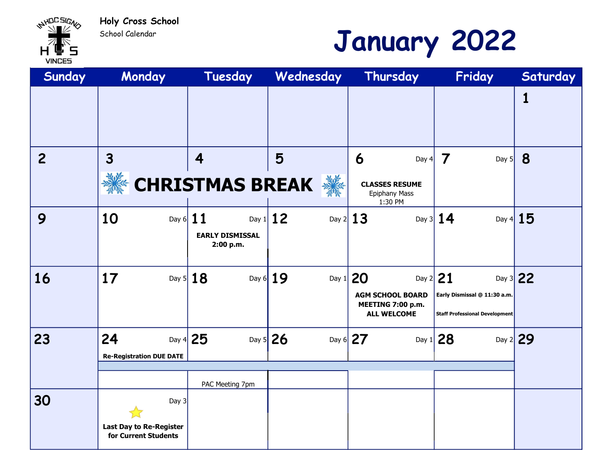School Calendar

WHOLSIGN

**VINCES** 

## January 2022

| Sunday         | Monday                                                          | Tuesday                             | Wednesday             | Thursday                                                                 | Friday                                                                              | Saturday |
|----------------|-----------------------------------------------------------------|-------------------------------------|-----------------------|--------------------------------------------------------------------------|-------------------------------------------------------------------------------------|----------|
|                |                                                                 |                                     |                       |                                                                          |                                                                                     | 1        |
| $\overline{2}$ | $\mathbf{3}$                                                    | $\overline{\mathbf{4}}$             | 5                     | 6<br>Day $4$                                                             | 7<br>Day $5$                                                                        | 8        |
|                |                                                                 | <b>CHRISTMAS BREAK</b>              | 纂                     | <b>CLASSES RESUME</b><br>Epiphany Mass<br>1:30 PM                        |                                                                                     |          |
| 9              | 10<br>Day 6 $11$                                                | <b>EARLY DISMISSAL</b><br>2:00 p.m. | Day 1 $12$            | Day $2 13$                                                               | Day 3 $14$<br>Day $4$                                                               | 15       |
| 16             | 17                                                              | Day 5 $18$                          | Day 6 $19$<br>Day $1$ | 20<br><b>AGM SCHOOL BOARD</b><br>MEETING 7:00 p.m.<br><b>ALL WELCOME</b> | Day $2 21$<br>Early Dismissal @ 11:30 a.m.<br><b>Staff Professional Development</b> | Day 3 22 |
| 23             | 24<br><b>Re-Registration DUE DATE</b>                           | Day 4 $25$                          | Day 5 $26$            | Day 6 $27$                                                               | Day 1 $28$<br>Day 2 29                                                              |          |
|                |                                                                 | PAC Meeting 7pm                     |                       |                                                                          |                                                                                     |          |
| 30             | Day 3<br><b>Last Day to Re-Register</b><br>for Current Students |                                     |                       |                                                                          |                                                                                     |          |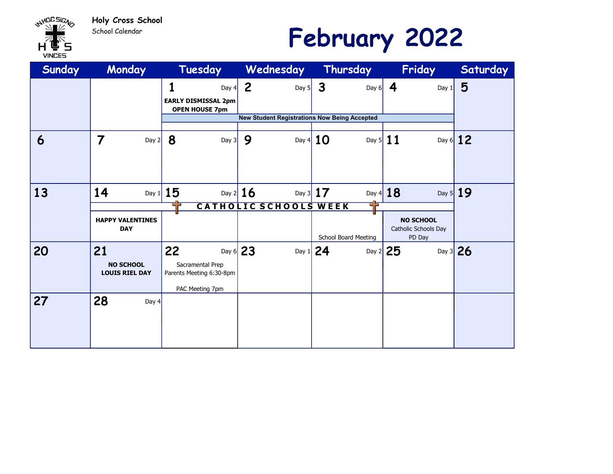

School Calendar

### February 2022

| Sunday | Monday                                    | Tuesday                                      | Wednesday                                           | Thursday                | Friday                         | Saturday   |  |
|--------|-------------------------------------------|----------------------------------------------|-----------------------------------------------------|-------------------------|--------------------------------|------------|--|
|        |                                           | 1<br>Day $4$                                 | $\overline{2}$<br>Day $5$                           | $\mathbf{3}$<br>Day $6$ | 4<br>Day $1$                   | 5          |  |
|        |                                           | <b>EARLY DISMISSAL 2pm</b>                   |                                                     |                         |                                |            |  |
|        |                                           | <b>OPEN HOUSE 7pm</b>                        | <b>New Student Registrations Now Being Accepted</b> |                         |                                |            |  |
|        |                                           |                                              |                                                     |                         |                                |            |  |
| 6      | $\overline{7}$<br>Day 2                   | 8<br>Day $3$                                 | 9                                                   | Day 4 $10$              | Day 5 $11$                     | Day $6$ 12 |  |
|        |                                           |                                              |                                                     |                         |                                |            |  |
|        |                                           |                                              |                                                     |                         |                                |            |  |
|        |                                           |                                              |                                                     |                         |                                |            |  |
| 13     | 14                                        | Day 1 $15$                                   | Day $2 16$                                          | Day 3 $17$              | Day 4 $18$                     | Day 5 $19$ |  |
|        | CATHOLIC SCHOOLS WEEK                     |                                              |                                                     |                         |                                |            |  |
|        | <b>HAPPY VALENTINES</b>                   |                                              |                                                     |                         | <b>NO SCHOOL</b>               |            |  |
|        | <b>DAY</b>                                |                                              |                                                     | School Board Meeting    | Catholic Schools Day<br>PD Day |            |  |
|        |                                           | 22                                           |                                                     |                         |                                |            |  |
| 20     | 21                                        |                                              | Day 6 $23$                                          | Day 1 $24$              | Day $2$ 25                     | Day 3 26   |  |
|        | <b>NO SCHOOL</b><br><b>LOUIS RIEL DAY</b> | Sacramental Prep<br>Parents Meeting 6:30-8pm |                                                     |                         |                                |            |  |
|        |                                           |                                              |                                                     |                         |                                |            |  |
|        |                                           | PAC Meeting 7pm                              |                                                     |                         |                                |            |  |
| 27     | 28<br>Day $4$                             |                                              |                                                     |                         |                                |            |  |
|        |                                           |                                              |                                                     |                         |                                |            |  |
|        |                                           |                                              |                                                     |                         |                                |            |  |
|        |                                           |                                              |                                                     |                         |                                |            |  |
|        |                                           |                                              |                                                     |                         |                                |            |  |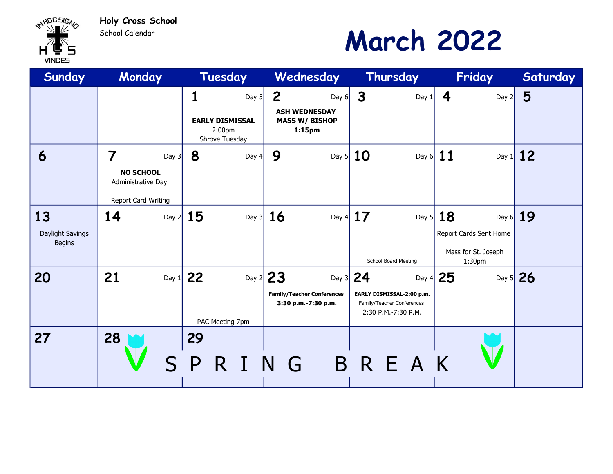Holy Cross School School Calendar



### March 2022

| Sunday                                  | Monday                                                                                     | Tuesday                                                            | Wednesday                                                                            | Thursday                                                                                     | Friday                                                                | Saturday   |
|-----------------------------------------|--------------------------------------------------------------------------------------------|--------------------------------------------------------------------|--------------------------------------------------------------------------------------|----------------------------------------------------------------------------------------------|-----------------------------------------------------------------------|------------|
|                                         |                                                                                            | 1<br>Day $5$<br><b>EARLY DISMISSAL</b><br>2:00pm<br>Shrove Tuesday | $\overline{2}$<br>Day $6$<br><b>ASH WEDNESDAY</b><br><b>MASS W/ BISHOP</b><br>1:15pm | $\mathbf{3}$<br>Day $1$                                                                      | 4<br>Day $2$                                                          | 5          |
| 6                                       | $\overline{7}$<br>Day $3$<br><b>NO SCHOOL</b><br>Administrative Day<br>Report Card Writing | 8<br>Day $4$                                                       | 9                                                                                    | Day 5 $10$                                                                                   | Day 6 $11$                                                            | Day 1 $12$ |
| 13<br>Daylight Savings<br><b>Begins</b> | 14<br>Day $2$                                                                              | 15                                                                 | Day 3 $16$                                                                           | Day 4 $17$<br>School Board Meeting                                                           | Day 5 $18$<br>Report Cards Sent Home<br>Mass for St. Joseph<br>1:30pm | Day 6 $19$ |
| 20                                      | 21<br>Day $1$                                                                              | 22<br>PAC Meeting 7pm                                              | Day $2$ 23<br><b>Family/Teacher Conferences</b><br>3:30 p.m.-7:30 p.m.               | Day 3 $24$<br>EARLY DISMISSAL-2:00 p.m.<br>Family/Teacher Conferences<br>2:30 P.M.-7:30 P.M. | Day 4 $25$<br>Day 5 26                                                |            |
| 27                                      | 28                                                                                         | 29<br>Р<br>R                                                       | - G                                                                                  | BREAK                                                                                        |                                                                       |            |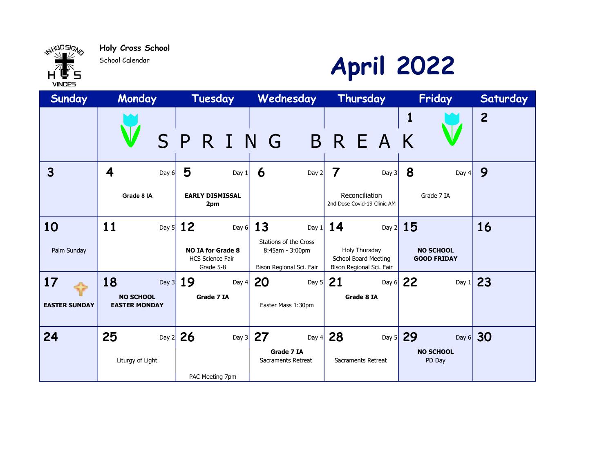

School Calendar



| Sunday                     | Monday                                         | Tuesday                                                                                  | Wednesday                                                                                    | Thursday                                                                                         | Friday                                       | Saturday       |
|----------------------------|------------------------------------------------|------------------------------------------------------------------------------------------|----------------------------------------------------------------------------------------------|--------------------------------------------------------------------------------------------------|----------------------------------------------|----------------|
|                            | S P                                            | $\mathbf{I}$<br>R.                                                                       | N G                                                                                          | BREA                                                                                             | 1<br>K                                       | $\overline{2}$ |
| $\mathbf{3}$               | 4<br>Day $6$<br>Grade 8 IA                     | 5<br>Day 1<br><b>EARLY DISMISSAL</b><br>2pm                                              | 6<br>Day 2                                                                                   | 7<br>Day $3$<br>Reconciliation<br>2nd Dose Covid-19 Clinic AM                                    | 8<br>Day $4$<br>Grade 7 IA                   | 9              |
| 10<br>Palm Sunday          | 11<br>Day $5$                                  | <b>12</b><br>Day $6$<br><b>NO IA for Grade 8</b><br><b>HCS Science Fair</b><br>Grade 5-8 | 13<br>Day $1$<br><b>Stations of the Cross</b><br>8:45am - 3:00pm<br>Bison Regional Sci. Fair | 14<br>Day $2$<br><b>Holy Thursday</b><br><b>School Board Meeting</b><br>Bison Regional Sci. Fair | 15<br><b>NO SCHOOL</b><br><b>GOOD FRIDAY</b> | 16             |
| 17<br><b>EASTER SUNDAY</b> | 18<br><b>NO SCHOOL</b><br><b>EASTER MONDAY</b> | Day 3 $19$<br>Day $4$<br>Grade 7 IA                                                      | 20<br>Day $5$<br>Easter Mass 1:30pm                                                          | 21<br>Day $6$<br>Grade 8 IA                                                                      | 22                                           | Day 1 $23$     |
| 24                         | 25<br>Day $2$<br>Liturgy of Light              | 26<br>Day $3$<br>PAC Meeting 7pm                                                         | 27<br>Day $4$<br>Grade 7 IA<br>Sacraments Retreat                                            | 28<br>Sacraments Retreat                                                                         | Day 5 29<br><b>NO SCHOOL</b><br>PD Day       | Day 6 $30$     |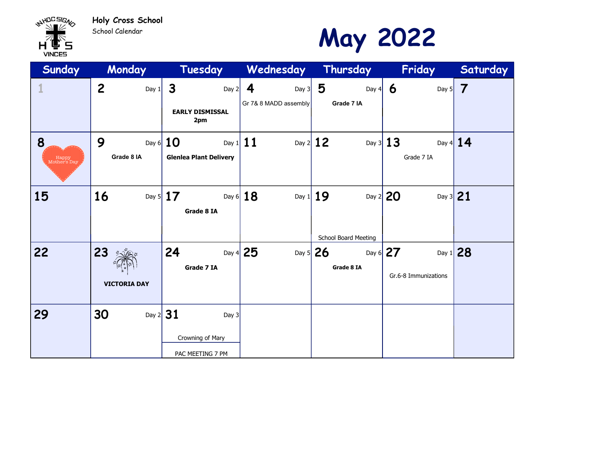

School Calendar

#### May 2022

| Sunday                     | Monday                       | Tuesday                                                     | Wednesday Thursday    |                                    | Friday                             | Saturday   |
|----------------------------|------------------------------|-------------------------------------------------------------|-----------------------|------------------------------------|------------------------------------|------------|
| $\mathbf 1$                | $\overline{2}$<br>Day 1      | 3<br>Day $2$                                                | 4<br>Day $3$          | 5<br>Day $4$                       | 6<br>Day $5$                       | 7          |
|                            |                              | <b>EARLY DISMISSAL</b><br>2pm                               | Gr 7& 8 MADD assembly | Grade 7 IA                         |                                    |            |
| 8<br>Happy<br>Mother's Day | 9<br>Grade 8 IA              | Day 6 $10$<br><b>Glenlea Plant Delivery</b>                 | Day 1 $11$            | Day $2$ 12                         | Day 3 $13$<br>Grade 7 IA           | Day 4 $14$ |
| 15                         | 16                           | Day 5 $17$<br>Grade 8 IA                                    | Day 6 $18$            | Day $1 19$<br>School Board Meeting | Day $2$ 20<br>Day 3 21             |            |
| 22                         | $23*$<br><b>VICTORIA DAY</b> | 24<br>Grade 7 IA                                            | Day 4 $25$            | Day 5 $26$<br>Grade 8 IA           | Day 6 $27$<br>Gr.6-8 Immunizations | Day 1 $28$ |
| 29                         | 30                           | Day $2 31$<br>Day 3<br>Crowning of Mary<br>PAC MEETING 7 PM |                       |                                    |                                    |            |